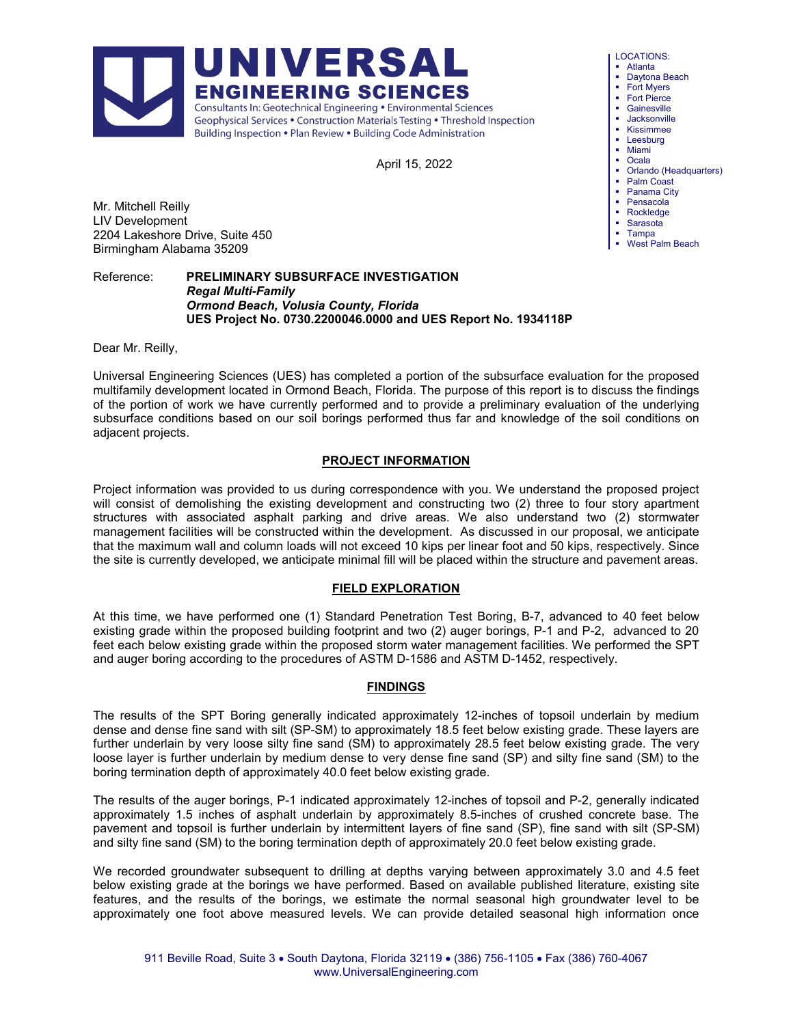April 15, 2022

Mr. Mitchell Reilly LIV Development 2204 Lakeshore Drive, Suite 450 Birmingham Alabama 35209

Reference: **PRELIMINARY SUBSURFACE INVESTIGATION** *Regal Multi-Family Ormond Beach, Volusia County, Florida* **UES Project No. 0730.2200046.0000 and UES Report No. 1934118P** 

Dear Mr. Reilly,

Universal Engineering Sciences (UES) has completed a portion of the subsurface evaluation for the proposed multifamily development located in Ormond Beach, Florida. The purpose of this report is to discuss the findings of the portion of work we have currently performed and to provide a preliminary evaluation of the underlying subsurface conditions based on our soil borings performed thus far and knowledge of the soil conditions on adjacent projects.

## **PROJECT INFORMATION**

Project information was provided to us during correspondence with you. We understand the proposed project will consist of demolishing the existing development and constructing two (2) three to four story apartment structures with associated asphalt parking and drive areas. We also understand two (2) stormwater management facilities will be constructed within the development. As discussed in our proposal, we anticipate that the maximum wall and column loads will not exceed 10 kips per linear foot and 50 kips, respectively. Since the site is currently developed, we anticipate minimal fill will be placed within the structure and pavement areas.

#### **FIELD EXPLORATION**

At this time, we have performed one (1) Standard Penetration Test Boring, B-7, advanced to 40 feet below existing grade within the proposed building footprint and two (2) auger borings, P-1 and P-2, advanced to 20 feet each below existing grade within the proposed storm water management facilities. We performed the SPT and auger boring according to the procedures of ASTM D-1586 and ASTM D-1452, respectively.

# **FINDINGS**

The results of the SPT Boring generally indicated approximately 12-inches of topsoil underlain by medium dense and dense fine sand with silt (SP-SM) to approximately 18.5 feet below existing grade. These layers are further underlain by very loose silty fine sand (SM) to approximately 28.5 feet below existing grade. The very loose layer is further underlain by medium dense to very dense fine sand (SP) and silty fine sand (SM) to the boring termination depth of approximately 40.0 feet below existing grade.

The results of the auger borings, P-1 indicated approximately 12-inches of topsoil and P-2, generally indicated approximately 1.5 inches of asphalt underlain by approximately 8.5-inches of crushed concrete base. The pavement and topsoil is further underlain by intermittent layers of fine sand (SP), fine sand with silt (SP-SM) and silty fine sand (SM) to the boring termination depth of approximately 20.0 feet below existing grade.

We recorded groundwater subsequent to drilling at depths varying between approximately 3.0 and 4.5 feet below existing grade at the borings we have performed. Based on available published literature, existing site features, and the results of the borings, we estimate the normal seasonal high groundwater level to be approximately one foot above measured levels. We can provide detailed seasonal high information once



LOCATIONS:

- Atlanta
- Daytona Beach ■ Fort Myers
- **Fort Pierce**
- **•** Gainesville
- **Jacksonville**
- Kissimmee **Leesburg**
- Miami
- Ocala
- Orlando (Headquarters)
- Palm Coast
- Panama City
- **•** Pensacola Rockledge
- Sarasota
- **Tampa**
- West Palm Beach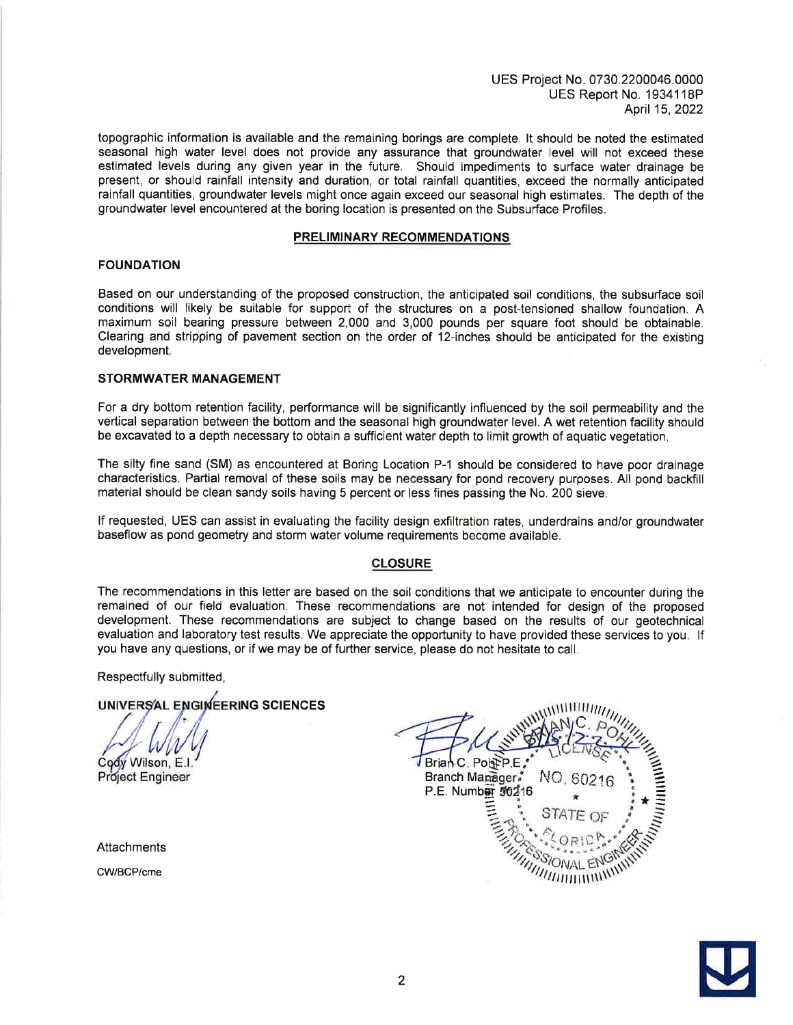UES Project No. 0730.2200046.0000 UES Report No. 1934118P April 15, 2022

topographic information is available and the remaining borings are complete. It should be noted the estimated seasonal high water level does not provide any assurance that groundwater level will not exceed these estimated levels during any given year in the future. Should impediments to surface water drainage be present, or should rainfall intensity and duration, or total rainfall quantities, exceed the normally anticipated rainfall quantities, groundwater levels might once again exceed our seasonal high estimates. The depth of the groundwater level encountered at the boring location is presented on the Subsurface Profiles.

#### **PRELIMINARY RECOMMENDATIONS**

## **FOUNDATION**

Based on our understanding of the proposed construction, the anticipated soil conditions, the subsurface soil conditions will likely be suitable for support of the structures on a post-tensioned shallow foundation. A maximum soil bearing pressure between 2,000 and 3,000 pounds per square foot should be obtainable. Clearing and stripping of pavement section on the order of 12-inches should be anticipated for the existing development.

# **STORMWATER MANAGEMENT**

For a dry bottom retention facility, performance will be significantly influenced by the soil permeability and the vertical separation between the bottom and the seasonal high groundwater level. A wet retention facility should be excavated to a depth necessary to obtain a sufficient water depth to limit growth of aquatic vegetation.

The silty fine sand (SM) as encountered at Boring Location P-1 should be considered to have poor drainage characteristics. Partial removal of these soils may be necessary for pond recovery purposes. All pond backfill material should be clean sandy soils having 5 percent or less fines passing the No. 200 sieve.

If requested, UES can assist in evaluating the facility design exfiltration rates, underdrains and/or groundwater baseflow as pond geometry and storm water volume requirements become available.

#### **CLOSURE**

The recommendations in this letter are based on the soil conditions that we anticipate to encounter during the remained of our field evaluation. These recommendations are not intended for design of the proposed development. These recommendations are subject to change based on the results of our geotechnical evaluation and laboratory test results. We appreciate the opportunity to have provided these services to you. If you have any questions, or if we may be of further service, please do not hesitate to call.

Respectfully submitted,

# UNIVERSAL ENGINEERING SCIENCES

Cody Wilson, E.I.

Project Engineer

Attachments

CW/BCP/cme



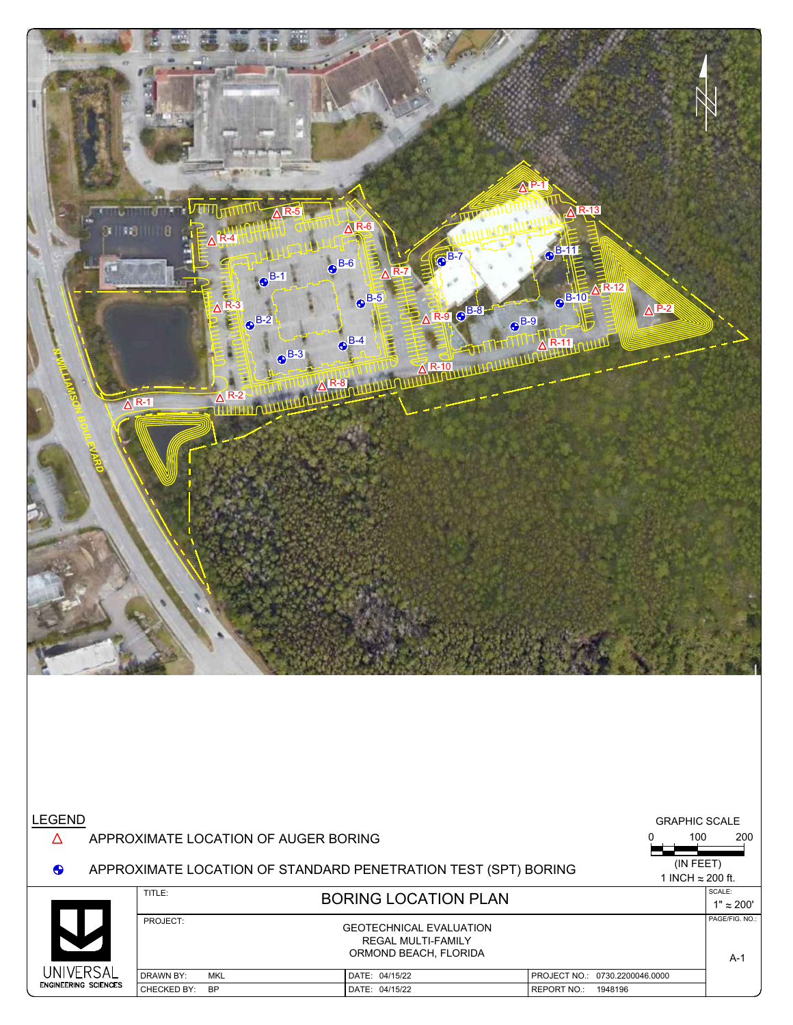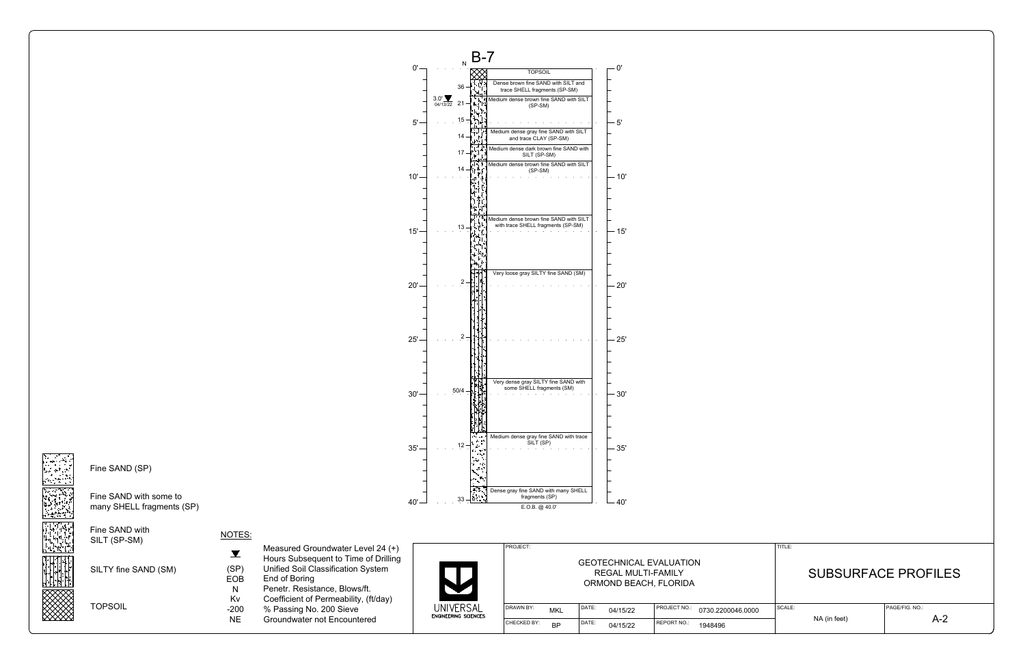| . |                                |  |
|---|--------------------------------|--|
|   | <b>GEOTECHNICAL EVALUATION</b> |  |
|   | REGAL MULTI-FAMILY             |  |
|   | ORMOND BEACH, FLORIDA          |  |
|   |                                |  |

| Fine SAND with<br>SILT (SP-SM)<br>SILTY fine SAND (SM) | NOTES:<br>(SP)<br><b>EOB</b> | Measured Groundwater Level 24 (+)<br>Hours Subsequent to Time of Drilling<br>Unified Soil Classification System<br>End of Boring<br>Penetr. Resistance, Blows/ft.<br>Coefficient of Permeability, (ft/day)<br>% Passing No. 200 Sieve<br>Groundwater not Encountered | JNIVERSAL<br><b>ENGINEERING SCIENCES</b> | PROJECT:                       | <b>GEOTECHNICAL EVALUATION</b><br>REGAL MULTI-FAMILY<br>ORMOND BEACH, FLORIDA |                   |          |                                   | TITLE:  | <b>SUBSURFACE PROFILES</b> |              |                |
|--------------------------------------------------------|------------------------------|----------------------------------------------------------------------------------------------------------------------------------------------------------------------------------------------------------------------------------------------------------------------|------------------------------------------|--------------------------------|-------------------------------------------------------------------------------|-------------------|----------|-----------------------------------|---------|----------------------------|--------------|----------------|
| <b>TOPSOIL</b>                                         | Kv<br>$-200$<br><b>NE</b>    |                                                                                                                                                                                                                                                                      |                                          | <b>DRAWN BY:</b><br><b>MKL</b> |                                                                               | DATE:<br>04/15/22 |          | PROJECT NO.:<br>0730.2200046.0000 |         | SCALE:                     |              | PAGE/FIG. NO.: |
|                                                        |                              |                                                                                                                                                                                                                                                                      |                                          | <b>CHECKED BY:</b>             | <b>BP</b>                                                                     | DATE:             | 04/15/22 | <b>REPORT NO.</b>                 | 1948496 |                            | NA (in feet) | $A-2$          |

![](_page_3_Figure_1.jpeg)

![](_page_3_Picture_2.jpeg)

 $\sim 100$ 

Fine SAND with some to many SHELL fragments (SP)

Fine SAND with SILT (SP-SM)

![](_page_3_Picture_5.jpeg)

# NOTES:

- Unified Soil Classification System
- EOB End of Boring (SP)
- Penetr. Resistance, Blows/ft. N
	- Coefficient of Permeability, (ft/day)
- NE Groundwater not Encountered -200

| UNIVERSAL |
|-----------|
|           |
|           |

![](_page_3_Figure_0.jpeg)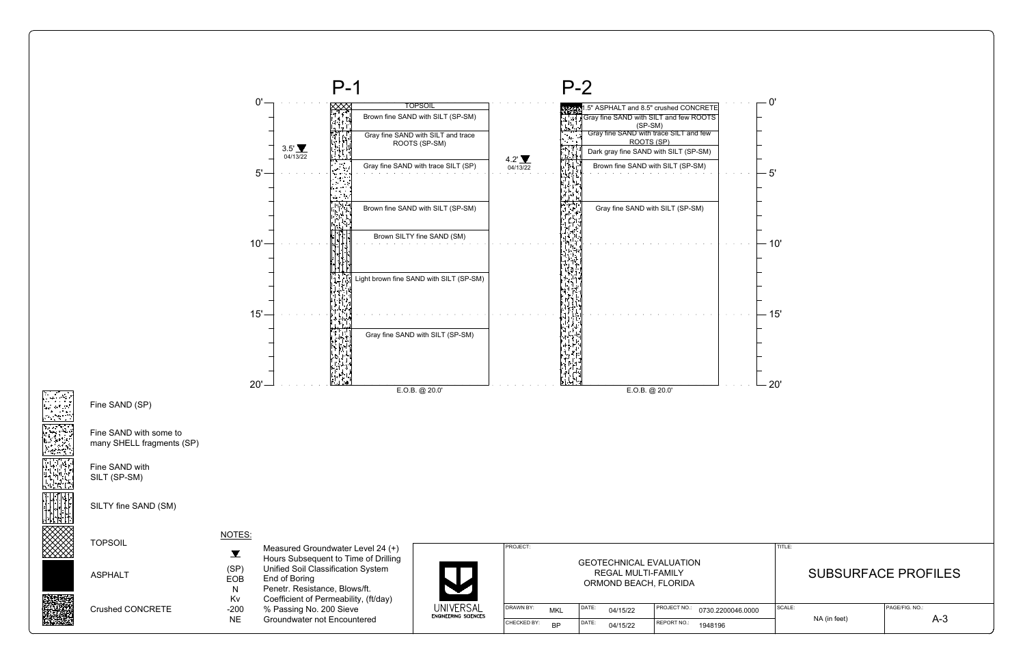![](_page_4_Figure_17.jpeg)

![](_page_4_Figure_16.jpeg)

# REGAL MULTI-FAMILY ORMOND BEACH, FLORIDA

| DRAWN BY:          | <b>MKL</b> | I DATE: | 04/15/22 | PROJECT NO.: | 0730.2200046.0000 | SCALE: |  |  |
|--------------------|------------|---------|----------|--------------|-------------------|--------|--|--|
| <b>CHECKED BY:</b> | ΒP         | I DATE: | 04/15/22 | REPORT NO.:  | 1948196           |        |  |  |

- Penetr. Resistance, Blows/ft. N Kv
	- Coefficient of Permeability, (ft/day)
- % Passing No. 200 Sieve -200
- NE Groundwater not Encountered

UNIVERSAL<br>Engineering sciences

![](_page_4_Figure_0.jpeg)

EOB End of Boring

Fine SAND (SP)

Fine SAND with some to many SHELL fragments (SP)

Fine SAND with SILT (SP-SM)

SILTY fine SAND (SM)

TOPSOIL

ASPHALT

![](_page_4_Picture_14.jpeg)

Crushed CONCRETE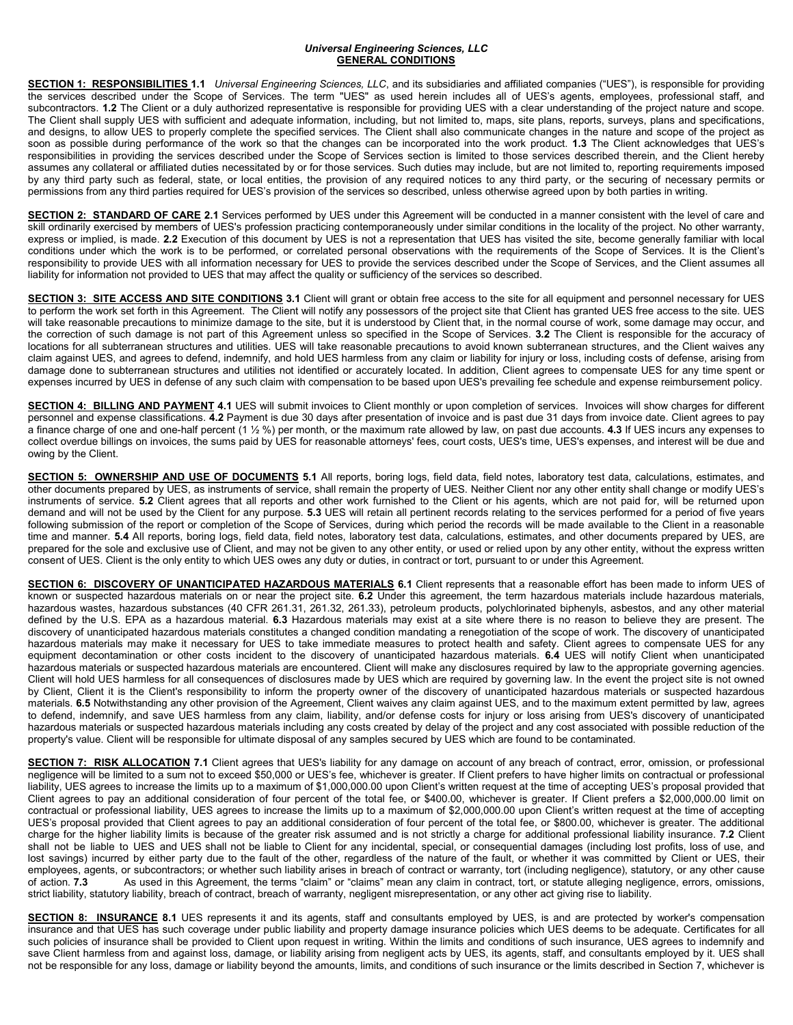#### *Universal Engineering Sciences, LLC* **GENERAL CONDITIONS**

**SECTION 1: RESPONSIBILITIES 1.1** *Universal Engineering Sciences, LLC*, and its subsidiaries and affiliated companies ("UES"), is responsible for providing the services described under the Scope of Services. The term "UES" as used herein includes all of UES's agents, employees, professional staff, and subcontractors. **1.2** The Client or a duly authorized representative is responsible for providing UES with a clear understanding of the project nature and scope. The Client shall supply UES with sufficient and adequate information, including, but not limited to, maps, site plans, reports, surveys, plans and specifications, and designs, to allow UES to properly complete the specified services. The Client shall also communicate changes in the nature and scope of the project as soon as possible during performance of the work so that the changes can be incorporated into the work product. **1.3** The Client acknowledges that UES's responsibilities in providing the services described under the Scope of Services section is limited to those services described therein, and the Client hereby assumes any collateral or affiliated duties necessitated by or for those services. Such duties may include, but are not limited to, reporting requirements imposed by any third party such as federal, state, or local entities, the provision of any required notices to any third party, or the securing of necessary permits or permissions from any third parties required for UES's provision of the services so described, unless otherwise agreed upon by both parties in writing.

**SECTION 2: STANDARD OF CARE 2.1** Services performed by UES under this Agreement will be conducted in a manner consistent with the level of care and skill ordinarily exercised by members of UES's profession practicing contemporaneously under similar conditions in the locality of the project. No other warranty, express or implied, is made. **2.2** Execution of this document by UES is not a representation that UES has visited the site, become generally familiar with local conditions under which the work is to be performed, or correlated personal observations with the requirements of the Scope of Services. It is the Client's responsibility to provide UES with all information necessary for UES to provide the services described under the Scope of Services, and the Client assumes all liability for information not provided to UES that may affect the quality or sufficiency of the services so described.

**SECTION 3: SITE ACCESS AND SITE CONDITIONS 3.1** Client will grant or obtain free access to the site for all equipment and personnel necessary for UES to perform the work set forth in this Agreement. The Client will notify any possessors of the project site that Client has granted UES free access to the site. UES will take reasonable precautions to minimize damage to the site, but it is understood by Client that, in the normal course of work, some damage may occur, and the correction of such damage is not part of this Agreement unless so specified in the Scope of Services. **3.2** The Client is responsible for the accuracy of locations for all subterranean structures and utilities. UES will take reasonable precautions to avoid known subterranean structures, and the Client waives any claim against UES, and agrees to defend, indemnify, and hold UES harmless from any claim or liability for injury or loss, including costs of defense, arising from damage done to subterranean structures and utilities not identified or accurately located. In addition, Client agrees to compensate UES for any time spent or expenses incurred by UES in defense of any such claim with compensation to be based upon UES's prevailing fee schedule and expense reimbursement policy.

**SECTION 4: BILLING AND PAYMENT 4.1** UES will submit invoices to Client monthly or upon completion of services. Invoices will show charges for different personnel and expense classifications. **4.2** Payment is due 30 days after presentation of invoice and is past due 31 days from invoice date. Client agrees to pay a finance charge of one and one-half percent (1 ½ %) per month, or the maximum rate allowed by law, on past due accounts. **4.3** If UES incurs any expenses to collect overdue billings on invoices, the sums paid by UES for reasonable attorneys' fees, court costs, UES's time, UES's expenses, and interest will be due and owing by the Client.

**SECTION 5: OWNERSHIP AND USE OF DOCUMENTS 5.1** All reports, boring logs, field data, field notes, laboratory test data, calculations, estimates, and other documents prepared by UES, as instruments of service, shall remain the property of UES. Neither Client nor any other entity shall change or modify UES's instruments of service. **5.2** Client agrees that all reports and other work furnished to the Client or his agents, which are not paid for, will be returned upon demand and will not be used by the Client for any purpose. **5.3** UES will retain all pertinent records relating to the services performed for a period of five years following submission of the report or completion of the Scope of Services, during which period the records will be made available to the Client in a reasonable time and manner. **5.4** All reports, boring logs, field data, field notes, laboratory test data, calculations, estimates, and other documents prepared by UES, are prepared for the sole and exclusive use of Client, and may not be given to any other entity, or used or relied upon by any other entity, without the express written consent of UES. Client is the only entity to which UES owes any duty or duties, in contract or tort, pursuant to or under this Agreement.

**SECTION 6: DISCOVERY OF UNANTICIPATED HAZARDOUS MATERIALS 6.1** Client represents that a reasonable effort has been made to inform UES of known or suspected hazardous materials on or near the project site. **6.2** Under this agreement, the term hazardous materials include hazardous materials, hazardous wastes, hazardous substances (40 CFR 261.31, 261.32, 261.33), petroleum products, polychlorinated biphenyls, asbestos, and any other material defined by the U.S. EPA as a hazardous material. **6.3** Hazardous materials may exist at a site where there is no reason to believe they are present. The discovery of unanticipated hazardous materials constitutes a changed condition mandating a renegotiation of the scope of work. The discovery of unanticipated hazardous materials may make it necessary for UES to take immediate measures to protect health and safety. Client agrees to compensate UES for any equipment decontamination or other costs incident to the discovery of unanticipated hazardous materials. **6.4** UES will notify Client when unanticipated hazardous materials or suspected hazardous materials are encountered. Client will make any disclosures required by law to the appropriate governing agencies. Client will hold UES harmless for all consequences of disclosures made by UES which are required by governing law. In the event the project site is not owned by Client, Client it is the Client's responsibility to inform the property owner of the discovery of unanticipated hazardous materials or suspected hazardous materials. **6.5** Notwithstanding any other provision of the Agreement, Client waives any claim against UES, and to the maximum extent permitted by law, agrees to defend, indemnify, and save UES harmless from any claim, liability, and/or defense costs for injury or loss arising from UES's discovery of unanticipated hazardous materials or suspected hazardous materials including any costs created by delay of the project and any cost associated with possible reduction of the property's value. Client will be responsible for ultimate disposal of any samples secured by UES which are found to be contaminated.

**SECTION 7: RISK ALLOCATION 7.1** Client agrees that UES's liability for any damage on account of any breach of contract, error, omission, or professional negligence will be limited to a sum not to exceed \$50,000 or UES's fee, whichever is greater. If Client prefers to have higher limits on contractual or professional liability, UES agrees to increase the limits up to a maximum of \$1,000,000.00 upon Client's written request at the time of accepting UES's proposal provided that Client agrees to pay an additional consideration of four percent of the total fee, or \$400.00, whichever is greater. If Client prefers a \$2,000,000.00 limit on contractual or professional liability, UES agrees to increase the limits up to a maximum of \$2,000,000.00 upon Client's written request at the time of accepting UES's proposal provided that Client agrees to pay an additional consideration of four percent of the total fee, or \$800.00, whichever is greater. The additional charge for the higher liability limits is because of the greater risk assumed and is not strictly a charge for additional professional liability insurance. **7.2** Client shall not be liable to UES and UES shall not be liable to Client for any incidental, special, or consequential damages (including lost profits, loss of use, and lost savings) incurred by either party due to the fault of the other, regardless of the nature of the fault, or whether it was committed by Client or UES, their employees, agents, or subcontractors; or whether such liability arises in breach of contract or warranty, tort (including negligence), statutory, or any other cause<br>of action. 7.3 As used in this Agreement, the terms "clai As used in this Agreement, the terms "claim" or "claims" mean any claim in contract, tort, or statute alleging negligence, errors, omissions, strict liability, statutory liability, breach of contract, breach of warranty, negligent misrepresentation, or any other act giving rise to liability.

**SECTION 8: INSURANCE 8.1** UES represents it and its agents, staff and consultants employed by UES, is and are protected by worker's compensation insurance and that UES has such coverage under public liability and property damage insurance policies which UES deems to be adequate. Certificates for all such policies of insurance shall be provided to Client upon request in writing. Within the limits and conditions of such insurance, UES agrees to indemnify and save Client harmless from and against loss, damage, or liability arising from negligent acts by UES, its agents, staff, and consultants employed by it. UES shall not be responsible for any loss, damage or liability beyond the amounts, limits, and conditions of such insurance or the limits described in Section 7, whichever is